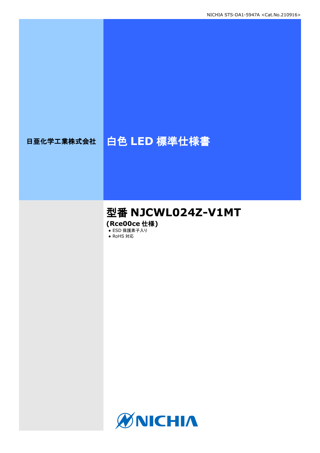# 日亜化学工業株式会社 | 白色 LED 標準仕様書

# 型番 **NJCWL024Z-V1MT**

**(Rce00ce** 仕様**)**

• ESD 保護素子入り ● RoHS 対応

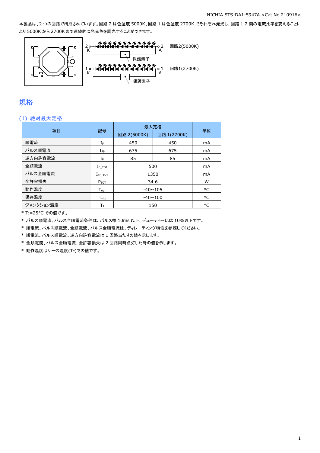本製品は、2 つの回路で構成されています。回路 2 は色温度 5000K、回路 1 は色温度 2700K でそれぞれ発光し、回路 1,2 間の電流比率を変えることに より 5000K から 2700K まで連続的に発光色を調光することができます。



### 規格

### (1) 絶対最大定格

|           | 記号                          | 最大定格           |             |    |
|-----------|-----------------------------|----------------|-------------|----|
| 項目        |                             | 回路 2(5000K)    | 回路 1(2700K) | 単位 |
| 順電流       | ΙF                          | 450            | 450         | mA |
| パルス順電流    | $I_{\mathsf{FP}}$           | 675            | 675         | mA |
| 逆方向許容電流   | $I_{\mathsf{R}}$            | 85             | 85          | mA |
| 全順電流      | $I_{F\_TOT}$                | 500            |             | mA |
| パルス全順電流   | $I_{FP\_TOT}$               | 1350           | mA          |    |
| 全許容損失     | $P_{TOT}$                   | 34.6           | W           |    |
| 動作温度      | $T_{\mathsf{opr}}$          | $-40 \sim 105$ | °C          |    |
| 保存温度      | $\mathsf{T}_{\mathsf{stg}}$ | $-40 \sim 100$ | °C          |    |
| ジャンクション温度 | T,                          |                | 150         | °C |

\* TJ=25°C での値です。

\* パルス順電流、パルス全順電流条件は、パルス幅 10ms 以下、デューティー比は 10%以下です。

\* 順電流、パルス順電流、全順電流、パルス全順電流は、ディレーティング特性を参照してください。

\* 順電流、パルス順電流、逆方向許容電流は 1 回路当たりの値を示します。

\* 全順電流、パルス全順電流、全許容損失は 2 回路同時点灯した時の値を示します。

 $*$ 動作温度はケース温度(Tc)での値です。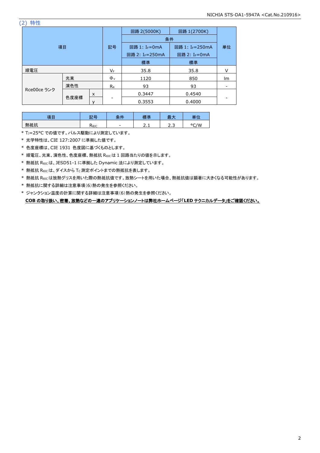(2) 特性

| 項目          |      |    | 回路 2(5000K)<br>回路 1(2700K)  |                           |        |    |
|-------------|------|----|-----------------------------|---------------------------|--------|----|
|             |      |    | 条件                          |                           |        |    |
|             |      | 記号 | 回路 1: I <sub>F</sub> =0mA   | 回路 1: IF=250mA            | 単位     |    |
|             |      |    | 回路 2: I <sub>F</sub> =250mA | 回路 2: I <sub>F</sub> =0mA |        |    |
|             |      |    | 標準                          | 標準                        |        |    |
| 順電圧         |      |    | VF                          | 35.8                      | 35.8   |    |
|             | 光束   |    | $\Phi_{v}$                  | 1120                      | 850    | lm |
|             | 演色性  |    | $R_{a}$                     | 93                        | 93     |    |
| Rce00ce ランク | 色度座標 | X  |                             | 0.3447                    | 0.4540 |    |
|             |      |    |                             | 0.3553                    | 0.4000 |    |

| 項目  | 龍星<br>ūЬ. | II<br>∼<br>ᄉ | 一進       | _<br>-<br>取フ    | 畄付            |
|-----|-----------|--------------|----------|-----------------|---------------|
| 熱抵抗 | Көзс      | -            | <u>.</u> | ∽<br>∽<br>ر . ب | /W<br>$\circ$ |

\* TJ=25°C での値です。パルス駆動により測定しています。

\* 光学特性は、CIE 127:2007 に準拠した値です。

\* 色度座標は、CIE 1931 色度図に基づくものとします。

\* 順電圧、光束、演色性、色度座標、熱抵抗 RθJCは 1 回路当たりの値を示します。

\* 熱抵抗 RθJCは、JESD51-1 に準拠した Dynamic 法により測定しています。

\* 熱抵抗 Rejcは、ダイスから Tc 測定ポイントまでの熱抵抗を表します。

\* 熱抵抗 RθJCは放熱グリスを用いた際の熱抵抗値です。放熱シートを用いた場合、熱抵抗値は顕著に大きくなる可能性があります。

\* 熱抵抗に関する詳細は注意事項(6)熱の発生を参照ください。

\* ジャンクション温度の計算に関する詳細は注意事項(6)熱の発生を参照ください。 **COB** の取り扱い、密着、放熱などの一連のアプリケーションノートは弊社ホームページ「**LED** テクニカルデータ」をご確認ください。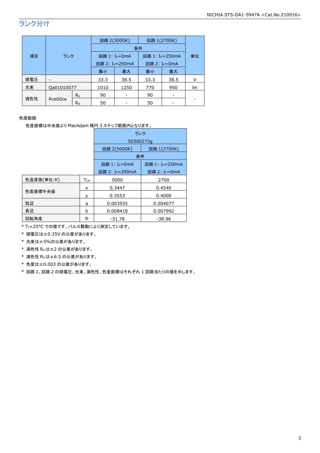# ランク分け

|     |            |                | 回路 2(5000K)                 | 回路 1(2700K)               |                             |      |    |  |
|-----|------------|----------------|-----------------------------|---------------------------|-----------------------------|------|----|--|
|     | 項目<br>ランク  |                |                             | 条件                        |                             |      |    |  |
|     |            |                |                             | 回路 1: I <sub>F</sub> =0mA | 回路 1: I <sub>F</sub> =250mA |      | 単位 |  |
|     |            |                | 回路 2: I <sub>F</sub> =250mA |                           | 回路 2: I <sub>F</sub> =0mA   |      |    |  |
|     |            |                | 最小                          | 最大                        | 最小                          | 最大   |    |  |
| 順電圧 |            |                | 33.3                        | 38.5                      | 33.3                        | 38.5 |    |  |
| 光束  | Qa01010077 |                | 1010                        | 1250                      | 770                         | 950  | Im |  |
|     |            | $R_{a}$        | 90                          |                           | 90                          |      |    |  |
| 演色性 | Rce00ce    | R <sub>9</sub> | 50                          |                           | 50                          |      |    |  |

### 色度範囲

色度座標は中央値より MacAdam 楕円 3 ステップ範囲内となります。

|            |                        | ランク                         |                           |  |  |
|------------|------------------------|-----------------------------|---------------------------|--|--|
|            |                        | 50300273q                   |                           |  |  |
|            |                        | 回路 2(5000K)                 | 回路 1(2700K)               |  |  |
|            |                        | 条件                          |                           |  |  |
|            |                        | 回路 1: I <sub>F</sub> =0mA   | 回路 1: IF=250mA            |  |  |
|            |                        | 回路 2: I <sub>F</sub> =250mA | 回路 2: I <sub>F</sub> =0mA |  |  |
| 色温度値(単位:K) | <b>T</b> <sub>CP</sub> | 5000                        | 2700                      |  |  |
|            | x                      | 0.3447                      | 0.4540                    |  |  |
| 色度座標中央値    |                        | 0.3553                      | 0.4000                    |  |  |
| 短辺         | a                      | 0.003555                    | 0.004077                  |  |  |
| 長辺         | b                      | 0.008418                    | 0.007992                  |  |  |
| 回転角度       | Φ                      | $-31.78$                    | -38.96                    |  |  |

\* TJ=25°C での値です。パルス駆動により測定しています。

\* 順電圧は±0.35V の公差があります。

\* 光束は±5%の公差があります。

\* 演色性 Raは±2 の公差があります。

\* 演色性 R9は±6.5 の公差があります。

\* 色度は±0.003 の公差があります。

\* 回路 1、回路 2 の順電圧、光束、演色性、色度座標はそれぞれ 1 回路当たりの値を示します。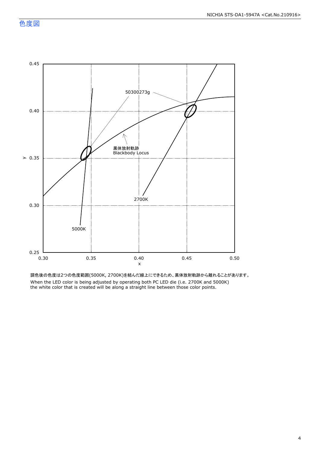

調色後の色度は2つの色度範囲(5000K, 2700K)を結んだ線上にできるため、黒体放射軌跡から離れることがあります。 When the LED color is being adjusted by operating both PC LED die (i.e. 2700K and 5000K) the white color that is created will be along a straight line between those color points.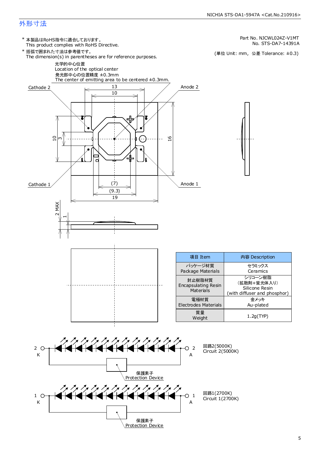### NICHIA STS-DA1-5947A <Cat.No.210916>

### 外形寸法

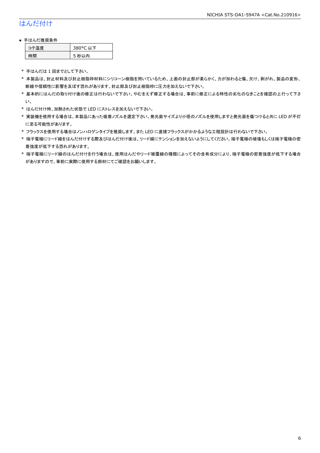# はんだ付け

### ● 手はんだ推奨条件

| - 涅 度 | 380°C 以下 |
|-------|----------|
| .刪    | 5 秒以内    |

\* 手はんだは 1 回までとして下さい。

- \* 本製品は、封止材料及び封止樹脂枠材料にシリコーン樹脂を用いているため、上面の封止部が柔らかく、力が加わると傷、欠け、剥がれ、製品の変形、 断線や信頼性に影響を及ぼす恐れがあります。封止部及び封止樹脂枠に圧力を加えないで下さい。
- \* 基本的にはんだの取り付け後の修正は行わないで下さい。やむをえず修正する場合は、事前に修正による特性の劣化のなきことを確認の上行って下さ い。
- \* はんだ付け時、加熱された状態で LED にストレスを加えないで下さい。
- \* 実装機を使用する場合は、本製品にあった吸着ノズルを選定下さい。発光面サイズより小径のノズルを使用しますと発光面を傷つけると共に LED が不灯 に至る可能性があります。
- \* フラックスを使用する場合はノンハロゲンタイプを推奨します。また LED に直接フラックスがかかるような工程設計は行わないで下さい。
- \* 端子電極にリード線をはんだ付けする際及びはんだ付け後は、リード線にテンションを加えないようにしてください。端子電極の破壊もしくは端子電極の密 着強度が低下する恐れがあります。
- \* 端子電極にリード線のはんだ付けを行う場合は、使用はんだやリード被覆線の種類によってその含有成分により、端子電極の密着強度が低下する場合 がありますので、事前に実際に使用する部材にてご確認をお願いします。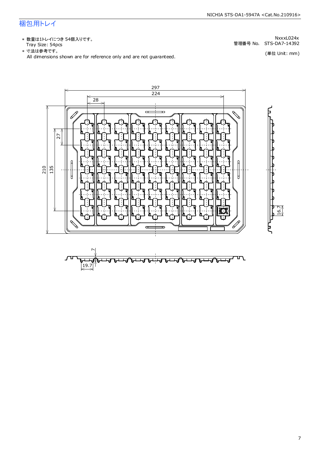## 梱包用トレイ

\* 数量は1トレイにつき 54個入りです。<br>Tray Size: 54pcs Tray Size: 54pcs 管理番号 No. STS-DA7-14392

All dimensions shown are for reference only and are not guaranteed. \* 寸法は参考です。

NxxxL024x

(単位 Unit: mm)



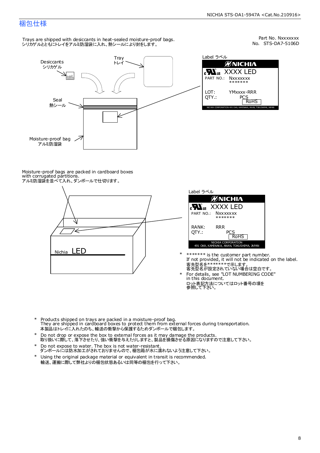### 梱包仕様

Trays are shipped with desiccants in heat-sealed moisture-proof bags. - hays are smpped man aesteams in heat sealed moletare pro<br>シリカゲルとともにトレイをアルミ防湿袋に入れ、熱シールにより封をします。



No. STS-DA7-5106D Part No. Nxxxxxxx

| Label ラベル                                                    |
|--------------------------------------------------------------|
| <b>MNICHIA</b>                                               |
| <b>Nus</b> XXXX LED<br>PART NO.: Nxxxxxxx                    |
| *******<br>LOT:<br>YMxxxx-RRR                                |
| OTY.:<br>PCS<br><b>RoHS</b>                                  |
| NICHIA CORPORATION 491 OKA, KAMINAKA, ANAN, TOKUSHIMA, JAPAN |

Moisture-proof bags are packed in cardboard boxes with corrugated partitions. アルミ防湿袋を並べて入れ、ダンボールで仕切ります。





\*

- If not provided, it will not be indicated on the label. \*\*\*\*\*\*\* is the customer part number. 客先型名が設定されていない場合は空白です。 客先型名を\*\*\*\*\*\*\*で示します。
- ロット表記方法についてはロット番号の項を<br>参照して下さい。 For details, see "LOT NUMBERING CODE" in this document. \*
- \* Products shipped on trays are packed in a moisture-proof bag. They are shipped in cardboard boxes to protect them from external forces during transportation. 本製品はトレイに入れたのち、輸送の衝撃から保護するためダンボールで梱包します。
- Do not drop or expose the box to external forces as it may damage the products. 取り扱いに際して、落下させたり、強い衝撃を与えたりしますと、製品を損傷させる原因になりますので注意して下さい。 \*
- Do not expose to water. The box is not water-resistant. \*
- ダンボールには防水加工がされておりませんので、梱包箱が水に濡れないよう注意して下さい。 Using the original package material or equivalent in transit is recommended. \*
- 輸送、運搬に際して弊社よりの梱包状態あるいは同等の梱包を行って下さい。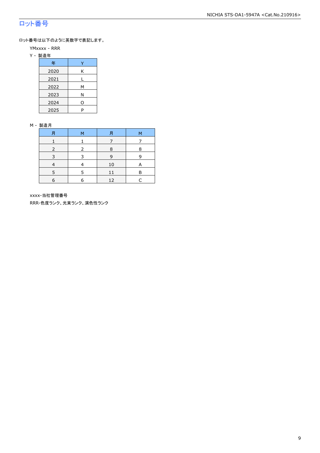## ロット番号

ロット番号は以下のように英数字で表記します。

- YMxxxx RRR
- Y 製造年

| 年    |   |
|------|---|
| 2020 | Κ |
| 2021 |   |
| 2022 | м |
| 2023 | Ν |
| 2024 | 0 |
| 2025 | P |

#### M - 製造月

| 月 | м | 月  | м |
|---|---|----|---|
|   |   |    |   |
|   |   | 8  | я |
|   |   | q  | q |
|   |   | 10 | А |
| 5 | 5 | 11 | Р |
| 6 | a | 12 |   |

xxxx-当社管理番号

RRR-色度ランク、光束ランク、演色性ランク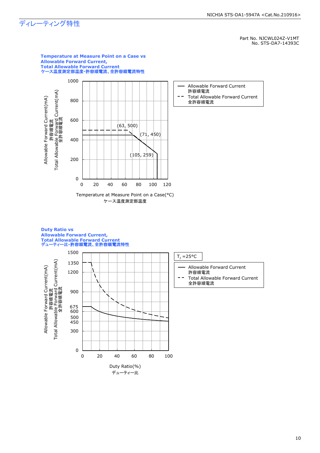# ディレーティング特性

Part No. NJCWL024Z-V1MT No. STS-DA7-14393C



**Duty Ratio vs Allowable Forward Current,**

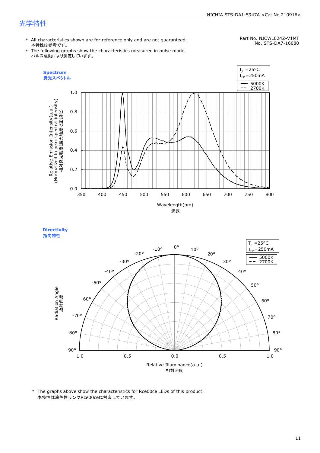### 光学特性

\* All characteristics shown are for reference only and are not guaranteed. 本特性は参考です。

#### Part No. NJCWL024Z-V1MT No. STS-DA7-16080

\* The following graphs show the characteristics measured in pulse mode. パルス駆動により測定しています。

 $T_1$  =25°C





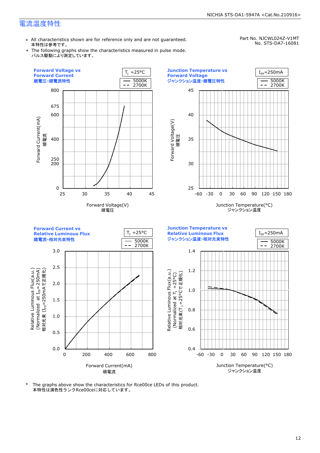### 電流温度特性

\* All characteristics shown are for reference only and are not guaranteed. 本特性は参考です。

Part No. NJCWL024Z-V1MT No. STS-DA7-16081

\* The following graphs show the characteristics measured in pulse mode. パルス駆動により測定しています。

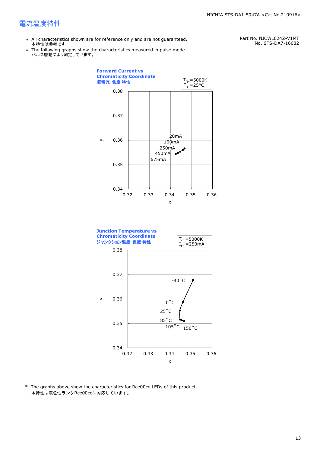### 電流温度特性

- \* All characteristics shown are for reference only and are not guaranteed. 本特性は参考です。
- \* Ine following graphs show th<br>、パルス駆動により測定しています。 The following graphs show the characteristics measured in pulse mode.

Part No. NJCWL024Z-V1MT No. STS-DA7-16082



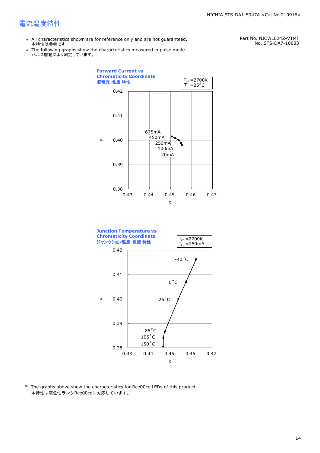### 電流温度特性

\* All characteristics shown are for reference only and are not guaranteed. 本特性は参考です。

Part No. NJCWL024Z-V1MT No. STS-DA7-16083

\* Ine following graphs show th<br>、パルス駆動により測定しています。 The following graphs show the characteristics measured in pulse mode.



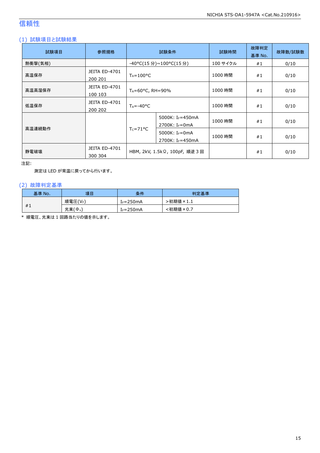# 信頼性

### (1) 試験項目と試験結果

| 試験項目    | 参照規格                            | 試験条件                                                                       |                                                            | 試験時間     | 故障判定<br>基準 No. | 故障数/試験数 |
|---------|---------------------------------|----------------------------------------------------------------------------|------------------------------------------------------------|----------|----------------|---------|
| 熱衝撃(気相) |                                 |                                                                            | -40°C(15 分)~100°C(15 分)                                    | 100 サイクル | #1             | 0/10    |
| 高温保存    | <b>JEITA ED-4701</b><br>200 201 | $T_A = 100$ °C                                                             |                                                            | 1000 時間  | #1             | 0/10    |
| 高温高湿保存  | <b>JEITA ED-4701</b><br>100 103 | $T_A = 60^{\circ}$ C, RH = 90%                                             |                                                            | 1000 時間  | #1             | 0/10    |
| 低温保存    | <b>JEITA ED-4701</b><br>200 202 | $T_A = -40$ °C                                                             |                                                            | 1000 時間  | #1             | 0/10    |
|         |                                 |                                                                            | 5000K: I <sub>F</sub> =450mA<br>2700K: I <sub>F</sub> =0mA | 1000 時間  | #1             | 0/10    |
| 高温連続動作  |                                 | $T_c = 71^{\circ}C$<br>5000K: $I_F = 0$ mA<br>2700K: I <sub>F</sub> =450mA |                                                            | 1000 時間  | #1             | 0/10    |
| 静電破壊    | <b>JEITA ED-4701</b><br>300 304 | HBM, 2kV, 1.5kΩ, 100pF, 順逆 3 回                                             |                                                            |          | #1             | 0/10    |

注記:

測定は LED が常温に戻ってから行います。

### (2) 故障判定基準

| 基準 No. | 項目                    | 条件            | 判定基準     |
|--------|-----------------------|---------------|----------|
|        | 順電圧(VF)               | $I_F = 250mA$ | ·初期値×1.1 |
| #1     | 光束(<br>$\phi_{\rm v}$ | $I_F = 250mA$ | <初期値×0.7 |

\* 順電圧、光束は 1 回路当たりの値を示します。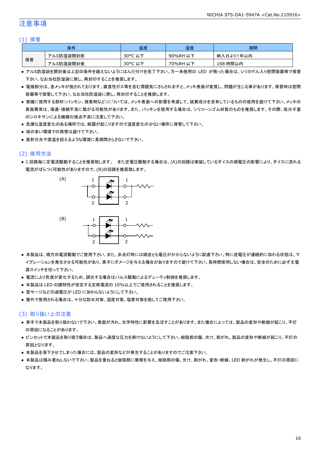### 注意事項

### (1) 保管

| 条件 |           | 温度      | 湿度       | 期間        |
|----|-----------|---------|----------|-----------|
|    | アルミ防湿袋開封前 | 30°C 以下 | 90%RH 以下 | 納入日より1年以内 |
| 保管 | アルミ防湿袋開封後 | 30°C 以下 | 70%RH 以下 | 168 時間以内  |

- アルミ防湿袋を開封後は上記の条件を越えないようにはんだ付けを完了下さい。万一未使用の LED が残った場合は、シリカゲル入り密閉容器等で保管 下さい。なお当社防湿袋に戻し、再封印することを推奨します。
- 電極部分は、金メッキが施されております。腐食性ガス等を含む雰囲気にさらされますと、メッキ表面が変質し、問題が生じる事があります。保管時は密閉 容器等で保管して下さい。なお当社防湿袋に戻し、再封印することを推奨します。
- 実機に使用する部材(パッキン、接着剤など)については、メッキ表面への影響を考慮して、硫黄成分を含有しているものの使用を避けて下さい。メッキの 表面異常は、導通・接続不良に繋がる可能性があります。また、パッキンを使用する場合は、シリコーンゴム材質のものを推奨します。その際、低分子量 のシロキサンによる機器の接点不良に注意して下さい。
- 急激な温度変化のある場所では、結露が起こりますので温度変化の少ない場所に保管して下さい。
- 埃の多い環境での保管は避けて下さい。
- 直射日光や室温を超えるような環境に長期間さらさないで下さい。

### (2) 使用方法

● 1 回路毎に定電流駆動することを推奨致します。 また定電圧駆動する場合は、(A)の回路は実装しているダイスの順電圧の影響により、ダイスに流れる 電流がばらつく可能性がありますので、(B)の回路を推奨致します。



- 本製品は、順方向電流駆動でご使用下さい。また、非点灯時には順逆とも電圧がかからないように配慮下さい。特に逆電圧が連続的に加わる状態は、マ イグレーションを発生させる可能性があり、素子にダメージを与える場合がありますので避けて下さい。長時間使用しない場合は、安全のために必ず主電 源スイッチを切って下さい。
- 電流により色度が変化するため、調光する場合はパルス駆動によるデューティ制御を推奨します。
- 本製品は LED の諸特性が安定する定格電流の 10%以上でご使用されることを推奨します。
- 雷サージなどの過電圧が LED に加わらないようにして下さい。
- 屋外で使用される場合は、十分な防水対策、湿度対策、塩害対策を施してご使用下さい。

#### (3) 取り扱い上の注意

- 素手で本製品を取り扱わないで下さい。表面が汚れ、光学特性に影響を及ぼすことがあります。また場合によっては、製品の変形や断線が起こり、不灯 の原因になることがあります。
- ピンセットで本製品を取り扱う場合は、製品へ過度な圧力を掛けないようにして下さい。樹脂部の傷、欠け、剥がれ、製品の変形や断線が起こり、不灯の 原因となります。
- 本製品を落下させてしまった場合には、製品の変形などが発生することがありますのでご注意下さい。
- 本製品は積み重ねしないで下さい。製品を重ねると樹脂部に衝撃を与え、樹脂部の傷、欠け、剥がれ、変形・断線、LED 剥がれが発生し、不灯の原因に なります。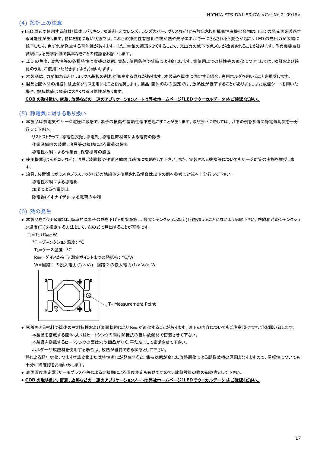### (4) 設計上の注意

- LED 周辺で使用する部材(筐体、パッキン、接着剤、2 次レンズ、レンズカバー、グリスなど)から放出された揮発性有機化合物は、LED の発光面を透過す る可能性があります。特に密閉に近い状態では、これらの揮発性有機化合物が熱や光子エネルギーにさらされると変色が起こり LED の光出力が大幅に 低下したり、色ずれが発生する可能性があります。また、空気の循環をよくすることで、光出力の低下や色ズレが改善されることがあります。予め実機点灯 試験による光学評価で異常なきことの確認をお願いします。
- LED の色度、演色性等の各種特性は実機の状態、実装、使用条件や経時により変化します。実使用上での特性等の変化につきましては、検証および確 認のうえ、ご使用いただきますようお願いします。
- 本製品は、カが加わるとセラミックス基板の割れが発生する恐れがあります。本製品を筐体に固定する場合、専用ホルダを用いることを推奨します。
- 製品と筐体間の接続には放熱グリスを用いることを推奨します。製品・筐体のみの固定では、放熱性が低下することがあります。また放熱シートを用いた 場合、熱抵抗値は顕著に大きくなる可能性があります。

#### **COB** の取り扱い、密着、放熱などの一連のアプリケーションノートは弊社ホームページ「**LED** テクニカルデータ」をご確認ください。

#### (5) 静電気に対する取り扱い

● 本製品は静電気やサージ電圧に敏感で、素子の損傷や信頼性低下を起こすことがあります。取り扱いに際しては、以下の例を参考に静電気対策を十分 行って下さい。

リストストラップ、導電性衣類、導電靴、導電性床材等による電荷の除去

作業区域内の装置、治具等の接地による電荷の除去

導電性材料による作業台、保管棚等の設置

- 使用機器(はんだコテなど)、治具、装置類や作業区域内は適切に接地をして下さい。また、実装される機器等についてもサージ対策の実施を推奨しま す。
- 治具、装置類にガラスやプラスチックなどの絶縁体を使用される場合は以下の例を参考に対策を十分行って下さい。

 導電性材料による導電化 加湿による帯電防止 除電器(イオナイザ)による電荷の中和

#### (6) 熱の発生

● 本製品をご使用の際は、効率的に素子の熱を下げる対策を施し、最大ジャンクション温度(T))を超えることがないよう配慮下さい。熱飽和時のジャンクショ ン温度(T<sub>J</sub>)を推定する方法として、次の式で算出することが可能です。

TJ=TC+RθJC・W

- \*TJ=ジャンクション温度: °C
- T<sub>C</sub>=ケース温度: °C

ReJC=ダイスから Tc 測定ポイントまでの熱抵抗: °C/W W=回路 1 の投入電力(IF×VF)+回路 2 の投入電力(IF×VF): W



 $T<sub>C</sub>$  Measurement Point

● 密着させる材料や筐体の材料特性および表面状態により Reicが変化することがあります。以下の内容についてもご注意頂けますようお願い致します。 本製品を搭載する筐体もしくはヒートシンクの間は熱抵抗の低い放熱材で密着させて下さい。

本製品を搭載するヒートシンクの面は穴や凹凸がなく、平たんにして密着させて下さい。

ホルダーや放熱材を使用する場合は、放熱が維持できる状態として下さい。

 熱による経年劣化、つまり寸法変化または特性劣化が発生すると、保持状態が変化し放熱悪化による製品破損の原因となりますので、信頼性についても 十分に御確認をお願い致します。

- 表面温度測定器(サーモグラフィ)等による非接触による温度測定も有効ですので、放熱設計の際の御参考として下さい。
- **COB** の取り扱い、密着、放熱などの一連のアプリケーションノートは弊社ホームページ「**LED** テクニカルデータ」をご確認ください。